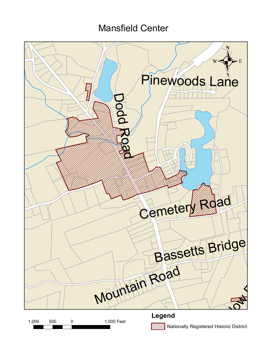## Mansfield Center

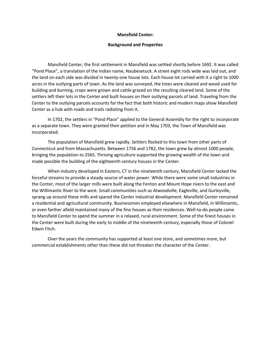## **Mansfield Center:**

## **Background and Properties**

Mansfield Center, the first settlement in Mansfield was settled shortly before 1692. It was called "Pond Place", a translation of the Indian name, Naubesetuck. A street eight rods wide was laid out, and the land on each side was divided in twenty-one house lots. Each house lot carried with it a right to 1000 acres in the outlying parts of town. As the land was surveyed, the trees were cleared and wood used for building and burning, crops were grown and cattle grazed on the resulting cleared land. Some of the settlers left their lots in the Center and built houses on their outlying parcels of land. Traveling from the Center to the outlying parcels accounts for the fact that both historic and modern maps show Mansfield Center as a hub with roads and trails radiating from it.

In 1702, the settlers in "Pond Place" applied to the General Assembly for the right to incorporate as a separate town. They were granted their petition and in May 1703, the Town of Mansfield was incorporated.

The population of Mansfield grew rapidly. Settlers flocked to this town from other parts of Connecticut and from Massachusetts. Between 1756 and 1782, the town grew by almost 1000 people, bringing the population to 2565. Thriving agriculture supported the growing wealth of the town and made possible the building of the eighteenth century houses in the Center.

When industry developed in Eastern, CT in the nineteenth century, Mansfield Center lacked the forceful streams to provide a steady source of water power. While there were some small industries in the Center, most of the larger mills were built along the Fenton and Mount Hope rivers to the east and the Willimantic River to the west. Small communities such as Atwoodville, Eagleville, and Gurleyville, sprang up around these mills and spared the Center industrial development. Mansfield Center remained a residential and agricultural community. Businessmen employed elsewhere in Mansfield, in Willimantic, or even farther afield maintained many of the fine houses as their residences. Well-to-do people came to Mansfield Center to spend the summer in a relaxed, rural environment. Some of the finest houses in the Center were built during the early to middle of the nineteenth century, especially those of Colonel Edwin Fitch.

Over the years the community has supported at least one store, and sometimes more, but commercial establishments other than these did not threaten the character of the Center.